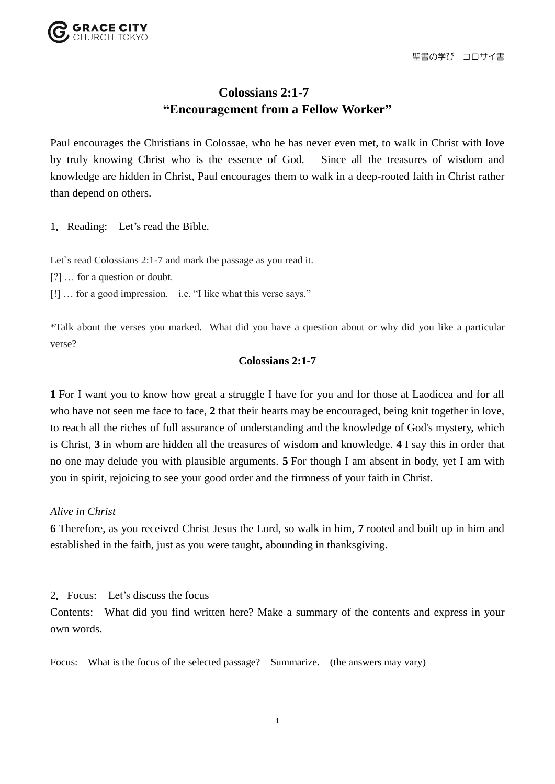

## **Colossians 2:1-7 "Encouragement from a Fellow Worker"**

Paul encourages the Christians in Colossae, who he has never even met, to walk in Christ with love by truly knowing Christ who is the essence of God. Since all the treasures of wisdom and knowledge are hidden in Christ, Paul encourages them to walk in a deep-rooted faith in Christ rather than depend on others.

1.Reading: Let's read the Bible.

Let's read Colossians 2:1-7 and mark the passage as you read it.

[?] … for a question or doubt.

[!] … for a good impression. i.e. "I like what this verse says."

\*Talk about the verses you marked. What did you have a question about or why did you like a particular verse?

## **Colossians 2:1-7**

**1** For I want you to know how great a struggle I have for you and for those at Laodicea and for all who have not seen me face to face, 2 that their hearts may be encouraged, being knit together in love, to reach all the riches of full assurance of understanding and the knowledge of God's mystery, which is Christ, **3** in whom are hidden all the treasures of wisdom and knowledge. **4** I say this in order that no one may delude you with plausible arguments. **5** For though I am absent in body, yet I am with you in spirit, rejoicing to see your good order and the firmness of your faith in Christ.

*Alive in Christ* 

**6** Therefore, as you received Christ Jesus the Lord, so walk in him, **7** rooted and built up in him and established in the faith, just as you were taught, abounding in thanksgiving.

2.Focus: Let's discuss the focus

Contents: What did you find written here? Make a summary of the contents and express in your own words.

Focus: What is the focus of the selected passage? Summarize. (the answers may vary)